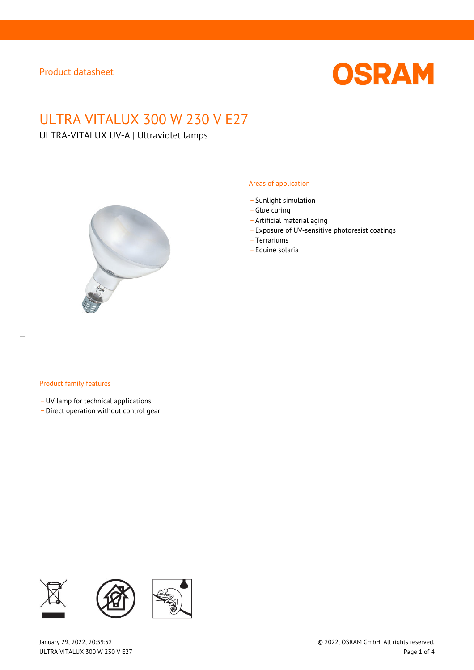

# ULTRA VITALUX 300 W 230 V E27

ULTRA-VITALUX UV-A | Ultraviolet lamps



#### Areas of application

- Sunlight simulation
- \_ Glue curing
- \_ Artificial material aging
- \_ Exposure of UV-sensitive photoresist coatings
- \_ Terrariums
- \_ Equine solaria

#### Product family features

\_ UV lamp for technical applications

\_ Direct operation without control gear

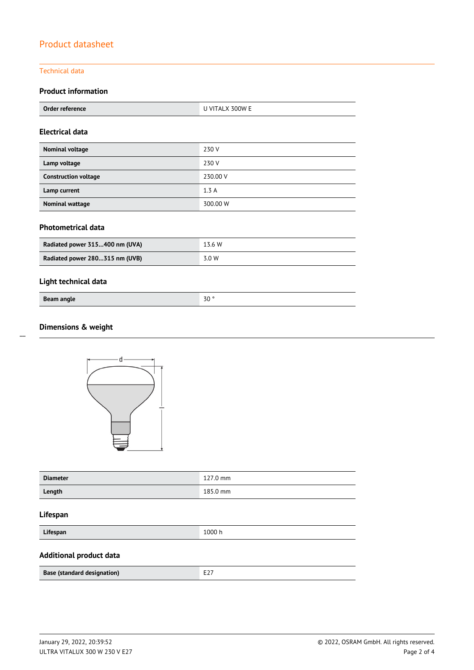#### Technical data

## **Product information**

|  | Orc<br>------<br>erence<br>1er rei | ገበW F<br>-- |
|--|------------------------------------|-------------|
|--|------------------------------------|-------------|

#### **Electrical data**

| Nominal voltage             | 230 V    |
|-----------------------------|----------|
| Lamp voltage                | 230 V    |
| <b>Construction voltage</b> | 230.00 V |
| Lamp current                | 1.3A     |
| <b>Nominal wattage</b>      | 300.00 W |

## **Photometrical data**

| Radiated power 315400 nm (UVA) | 13.6 W |  |
|--------------------------------|--------|--|
| Radiated power 280315 nm (UVB) | 3.0 W  |  |

## **Light technical data**

| Beam angle | 7 <sub>0</sub><br>بار |
|------------|-----------------------|

## **Dimensions & weight**





| <b>Diameter</b> | 127.0 mm |  |
|-----------------|----------|--|
| Length          | 185.0 mm |  |

#### **Lifespan**

| Lifespan |
|----------|
|----------|

**Lifespan** 1000 h

## **Additional product data**

| <b>Base (standard designation)</b> | $- - -$ |
|------------------------------------|---------|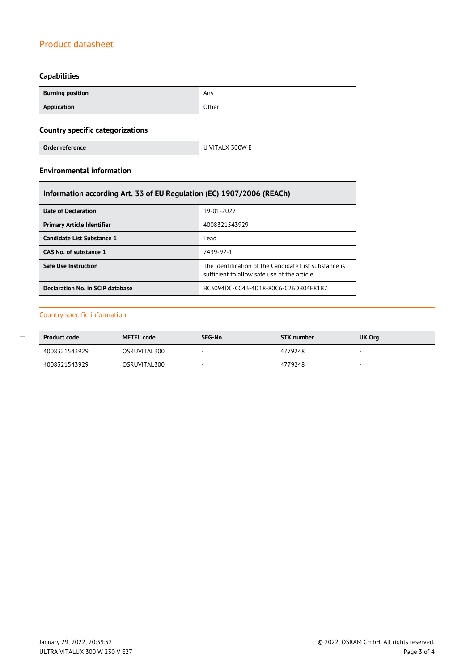# **Capabilities**

Г

| <b>Burning position</b> | Any   |  |
|-------------------------|-------|--|
| Application             | Other |  |

# **Country specific categorizations**

| Order reference | U VITALX 300W E |
|-----------------|-----------------|
|                 |                 |

## **Environmental information**

| Information according Art. 33 of EU Regulation (EC) 1907/2006 (REACh) |                                                                                                       |  |  |  |
|-----------------------------------------------------------------------|-------------------------------------------------------------------------------------------------------|--|--|--|
| Date of Declaration                                                   | 19-01-2022                                                                                            |  |  |  |
| <b>Primary Article Identifier</b>                                     | 4008321543929                                                                                         |  |  |  |
| Candidate List Substance 1                                            | Lead                                                                                                  |  |  |  |
| CAS No. of substance 1                                                | 7439-92-1                                                                                             |  |  |  |
| <b>Safe Use Instruction</b>                                           | The identification of the Candidate List substance is<br>sufficient to allow safe use of the article. |  |  |  |
| Declaration No. in SCIP database                                      | BC3094DC-CC43-4D18-80C6-C26DB04E81B7                                                                  |  |  |  |

#### Country specific information

| <b>Product code</b> | <b>METEL code</b> | SEG-No.                  | STK number | UK Org |
|---------------------|-------------------|--------------------------|------------|--------|
| 4008321543929       | OSRUVITAL300      | $\overline{\phantom{a}}$ | 4779248    |        |
| 4008321543929       | OSRUVITAL300      | $\sim$                   | 4779248    |        |